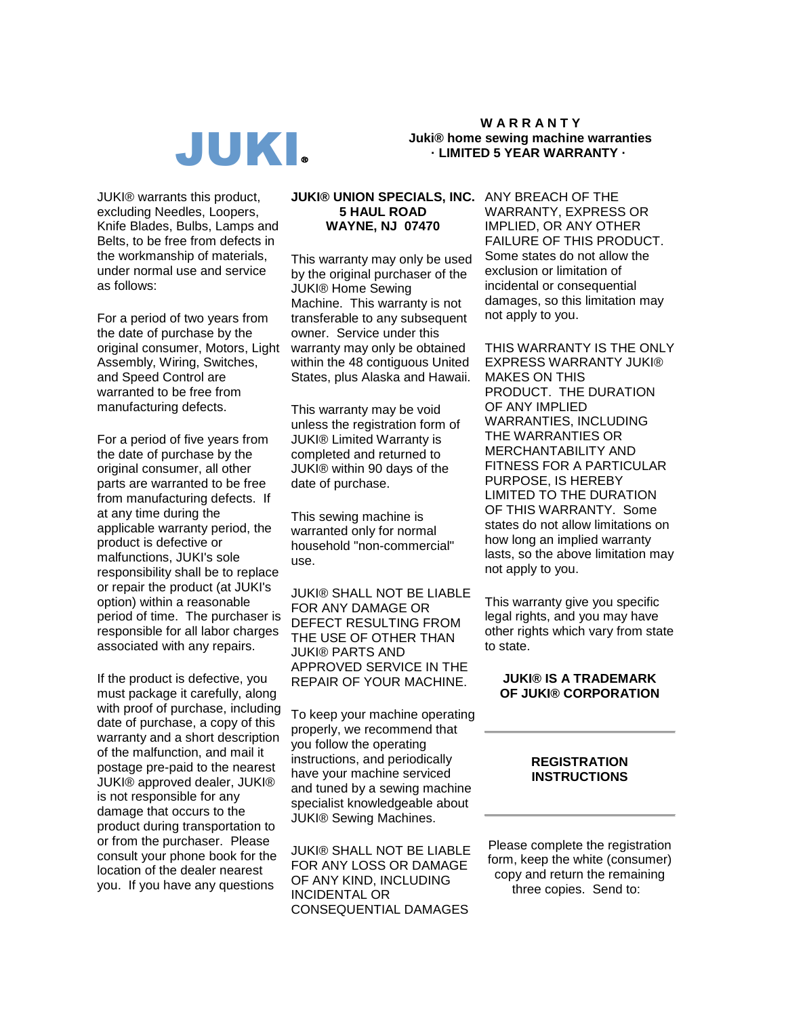

**W A R R A N T Y Juki® home sewing machine warranties · LIMITED 5 YEAR WARRANTY ·**

JUKI® warrants this product, excluding Needles, Loopers, Knife Blades, Bulbs, Lamps and Belts, to be free from defects in the workmanship of materials, under normal use and service as follows:

For a period of two years from the date of purchase by the original consumer, Motors, Light Assembly, Wiring, Switches, and Speed Control are warranted to be free from manufacturing defects.

For a period of five years from the date of purchase by the original consumer, all other parts are warranted to be free from manufacturing defects. If at any time during the applicable warranty period, the product is defective or malfunctions, JUKI's sole responsibility shall be to replace or repair the product (at JUKI's option) within a reasonable period of time. The purchaser is responsible for all labor charges associated with any repairs.

If the product is defective, you must package it carefully, along with proof of purchase, including date of purchase, a copy of this warranty and a short description of the malfunction, and mail it postage pre-paid to the nearest JUKI® approved dealer, JUKI® is not responsible for any damage that occurs to the product during transportation to or from the purchaser. Please consult your phone book for the location of the dealer nearest you. If you have any questions

## **JUKI® UNION SPECIALS, INC.** ANY BREACH OF THE **5 HAUL ROAD WAYNE, NJ 07470**

This warranty may only be used by the original purchaser of the JUKI® Home Sewing Machine. This warranty is not transferable to any subsequent owner. Service under this warranty may only be obtained within the 48 contiguous United States, plus Alaska and Hawaii.

This warranty may be void unless the registration form of JUKI® Limited Warranty is completed and returned to JUKI® within 90 days of the date of purchase.

This sewing machine is warranted only for normal household "non-commercial" use.

JUKI® SHALL NOT BE LIABLE FOR ANY DAMAGE OR DEFECT RESULTING FROM THE USE OF OTHER THAN JUKI® PARTS AND APPROVED SERVICE IN THE REPAIR OF YOUR MACHINE.

To keep your machine operating properly, we recommend that you follow the operating instructions, and periodically have your machine serviced and tuned by a sewing machine specialist knowledgeable about JUKI® Sewing Machines.

JUKI® SHALL NOT BE LIABLE FOR ANY LOSS OR DAMAGE OF ANY KIND, INCLUDING INCIDENTAL OR CONSEQUENTIAL DAMAGES

WARRANTY, EXPRESS OR IMPLIED, OR ANY OTHER FAILURE OF THIS PRODUCT. Some states do not allow the exclusion or limitation of incidental or consequential damages, so this limitation may not apply to you.

THIS WARRANTY IS THE ONLY EXPRESS WARRANTY JUKI® MAKES ON THIS PRODUCT. THE DURATION OF ANY IMPLIED WARRANTIES, INCLUDING THE WARRANTIES OR MERCHANTABILITY AND FITNESS FOR A PARTICULAR PURPOSE, IS HEREBY LIMITED TO THE DURATION OF THIS WARRANTY. Some states do not allow limitations on how long an implied warranty lasts, so the above limitation may not apply to you.

This warranty give you specific legal rights, and you may have other rights which vary from state to state.

## **JUKI® IS A TRADEMARK OF JUKI® CORPORATION**

## **REGISTRATION INSTRUCTIONS**

Please complete the registration form, keep the white (consumer) copy and return the remaining three copies. Send to: